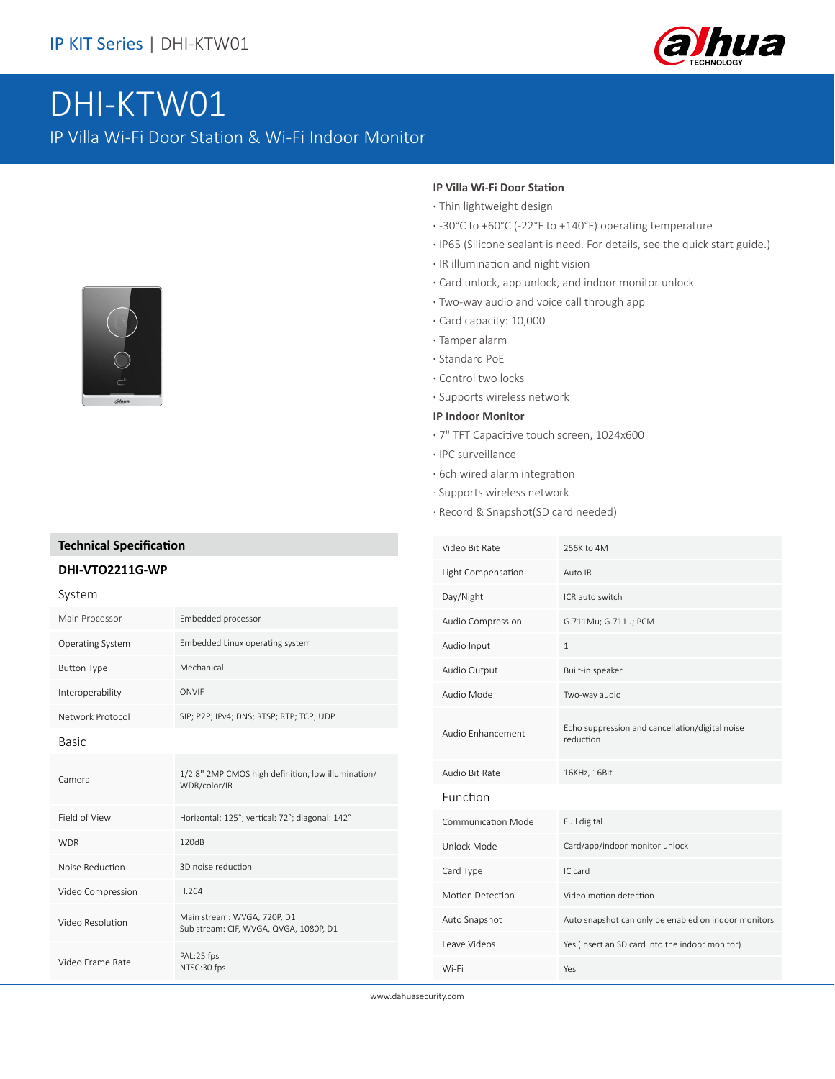

# DHI-KTW01

IP Villa Wi-Fi Door Station & Wi-Fi Indoor Monitor



## **Technical Specification**

### **DHI-VTO2211G-WP**

# System Main Processor Embedded processor Operating System Embedded Linux operating system Button Type Mechanical Interoperability ONVIF Network Protocol SIP; P2P; IPv4; DNS; RTSP; RTP; TCP; UDP Basic Camera 1/2.8'' 2MP CMOS high definition, low illumination/ WDR/color/IR Field of View Horizontal: 125°; vertical: 72°; diagonal: 142° WDR 120dB Noise Reduction 3D noise reduction Video Compression H.264 Video Resolution Main stream: WVGA, 720P, D1 Sub stream: CIF, WVGA, QVGA, 1080P, D1 Video Frame Rate PAL:25 fps NTSC:30 fps

#### **IP Villa Wi-Fi Door Station**

- **·** Thin lightweight design
- **·** -30°C to +60°C (-22°F to +140°F) operating temperature
- **·** IP65 (Silicone sealant is need. For details, see the quick start guide.)
- **·** IR illumination and night vision
- **·** Card unlock, app unlock, and indoor monitor unlock
- **·** Two-way audio and voice call through app
- **·** Card capacity: 10,000
- **·** Tamper alarm
- **·** Standard PoE
- **·** Control two locks
- **·** Supports wireless network

#### **IP Indoor Monitor**

- **·** 7" TFT Capacitive touch screen, 1024x600
- **·** IPC surveillance
- **·** 6ch wired alarm integration
- · Supports wireless network
- · Record & Snapshot(SD card needed)

| Video Bit Rate            | 256K to 4M                                                   |
|---------------------------|--------------------------------------------------------------|
| Light Compensation        | Auto IR                                                      |
| Day/Night                 | ICR auto switch                                              |
| Audio Compression         | G.711Mu; G.711u; PCM                                         |
| Audio Input               | $\mathbf{1}$                                                 |
| Audio Output              | Built-in speaker                                             |
| Audio Mode                | Two-way audio                                                |
| Audio Enhancement         | Echo suppression and cancellation/digital noise<br>reduction |
| Audio Bit Rate            | 16KHz, 16Bit                                                 |
| Function                  |                                                              |
| <b>Communication Mode</b> | Full digital                                                 |
| Unlock Mode               | Card/app/indoor monitor unlock                               |
| Card Type                 | IC card                                                      |
| Motion Detection          | Video motion detection                                       |
| Auto Snapshot             | Auto snapshot can only be enabled on indoor monitors         |
| Leave Videos              | Yes (Insert an SD card into the indoor monitor)              |
| Wi-Fi                     | Yes                                                          |

www.dahuasecurity.com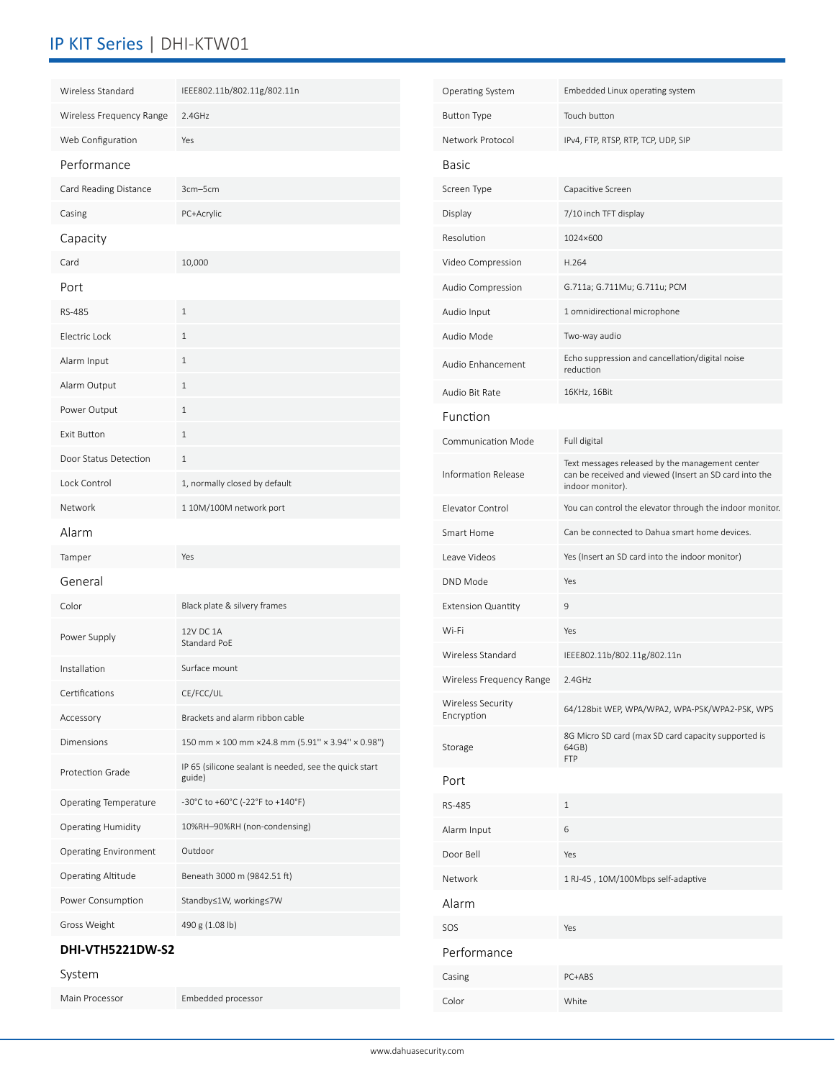# IP KIT Series | DHI-KTW01

| Wireless Standard                     | IEEE802.11b/802.11g/802.11n                                      | Operating System          | Embedded Linux operating system                                                                                               |
|---------------------------------------|------------------------------------------------------------------|---------------------------|-------------------------------------------------------------------------------------------------------------------------------|
| Wireless Frequency Range              | 2.4GHz                                                           | <b>Button Type</b>        | Touch button                                                                                                                  |
| Web Configuration                     | Yes                                                              | Network Protocol          | IPv4, FTP, RTSP, RTP, TCP, UDP, SIP                                                                                           |
| Performance                           |                                                                  | <b>Basic</b>              |                                                                                                                               |
| Card Reading Distance                 | 3cm-5cm                                                          | Screen Type               | Capacitive Screen                                                                                                             |
| Casing                                | PC+Acrylic                                                       | Display                   | 7/10 inch TFT display                                                                                                         |
| Capacity                              |                                                                  | Resolution                | 1024×600                                                                                                                      |
| Card                                  | 10,000                                                           | Video Compression         | H.264                                                                                                                         |
| Port                                  |                                                                  | Audio Compression         | G.711a; G.711Mu; G.711u; PCM                                                                                                  |
| RS-485                                | $\mathbf{1}$                                                     | Audio Input               | 1 omnidirectional microphone                                                                                                  |
| Electric Lock                         | $\mathbf{1}$                                                     | Audio Mode                | Two-way audio                                                                                                                 |
| Alarm Input                           | $\mathbf{1}$                                                     | Audio Enhancement         | Echo suppression and cancellation/digital noise<br>reduction                                                                  |
| Alarm Output                          | $\mathbf{1}$                                                     | Audio Bit Rate            | 16KHz, 16Bit                                                                                                                  |
| Power Output                          | $\mathbf{1}$                                                     | Function                  |                                                                                                                               |
| Exit Button                           | $\mathbf{1}$                                                     | Communication Mode        | Full digital                                                                                                                  |
| Door Status Detection<br>Lock Control | $\mathbf{1}$<br>1, normally closed by default                    | Information Release       | Text messages released by the management center<br>can be received and viewed (Insert an SD card into the<br>indoor monitor). |
| Network                               | 1 10M/100M network port                                          | Elevator Control          | You can control the elevator through the indoor monitor.                                                                      |
| Alarm                                 |                                                                  | Smart Home                | Can be connected to Dahua smart home devices.                                                                                 |
| Tamper                                | Yes                                                              | Leave Videos              | Yes (Insert an SD card into the indoor monitor)                                                                               |
| General                               |                                                                  | DND Mode                  | Yes                                                                                                                           |
| Color                                 | Black plate & silvery frames                                     | <b>Extension Quantity</b> | $\mathsf 9$                                                                                                                   |
|                                       | 12V DC 1A                                                        | Wi-Fi                     | Yes                                                                                                                           |
| Power Supply                          | Standard PoE                                                     | Wireless Standard         | IEEE802.11b/802.11g/802.11n                                                                                                   |
| Installation                          | Surface mount                                                    | Wireless Frequency Range  | 2.4GHz                                                                                                                        |
| Certifications                        | CE/FCC/UL                                                        | Wireless Security         |                                                                                                                               |
| Accessory                             | Brackets and alarm ribbon cable                                  | Encryption                | 64/128bit WEP, WPA/WPA2, WPA-PSK/WPA2-PSK, WPS                                                                                |
| Dimensions                            | 150 mm × 100 mm × 24.8 mm (5.91" × 3.94" × 0.98")                | Storage                   | 8G Micro SD card (max SD card capacity supported is<br>64GB)<br><b>FTP</b>                                                    |
| Protection Grade                      | IP 65 (silicone sealant is needed, see the quick start<br>guide) | Port                      |                                                                                                                               |
| Operating Temperature                 | -30°C to +60°C (-22°F to +140°F)                                 | RS-485                    | $\mathbf{1}$                                                                                                                  |
| Operating Humidity                    | 10%RH-90%RH (non-condensing)                                     | Alarm Input               | $\,$ 6 $\,$                                                                                                                   |
| Operating Environment                 | Outdoor                                                          | Door Bell                 | Yes                                                                                                                           |
| Operating Altitude                    | Beneath 3000 m (9842.51 ft)                                      | Network                   | 1 RJ-45, 10M/100Mbps self-adaptive                                                                                            |
| Power Consumption                     | Standby≤1W, working≤7W                                           | Alarm                     |                                                                                                                               |
| Gross Weight                          | 490 g (1.08 lb)                                                  | SOS                       | Yes                                                                                                                           |
| DHI-VTH5221DW-S2                      |                                                                  | Performance               |                                                                                                                               |
| System                                |                                                                  | Casing                    | PC+ABS                                                                                                                        |
| Main Processor                        | Embedded processor                                               | Color                     | White                                                                                                                         |